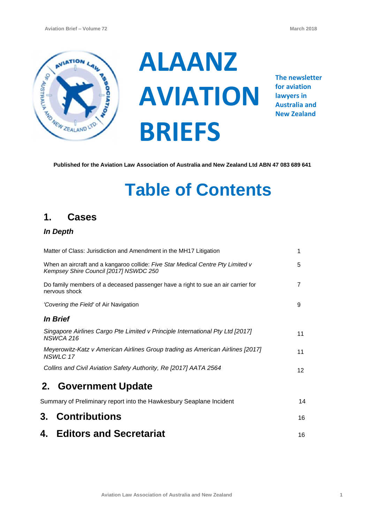

**ALAANZ AVIATION BRIEFS**

**The newsletter for aviation lawyers in Australia and New Zealand**

**Published for the Aviation Law Association of Australia and New Zealand Ltd ABN 47 083 689 641**

# **Table of Contents**

## **1. Cases**

### *In Depth*

| <b>Editors and Secretariat</b><br>4.                                                                                      | 16              |
|---------------------------------------------------------------------------------------------------------------------------|-----------------|
| 3. Contributions                                                                                                          | 16              |
| Summary of Preliminary report into the Hawkesbury Seaplane Incident                                                       | 14              |
| 2. Government Update                                                                                                      |                 |
| Collins and Civil Aviation Safety Authority, Re [2017] AATA 2564                                                          | 12 <sup>2</sup> |
| Meyerowitz-Katz v American Airlines Group trading as American Airlines [2017]<br>NSWLC 17                                 | 11              |
| Singapore Airlines Cargo Pte Limited v Principle International Pty Ltd [2017]<br>NSWCA 216                                | 11              |
| <i><b>In Brief</b></i>                                                                                                    |                 |
| 'Covering the Field' of Air Navigation                                                                                    | 9               |
| Do family members of a deceased passenger have a right to sue an air carrier for<br>nervous shock                         | 7               |
| When an aircraft and a kangaroo collide: Five Star Medical Centre Pty Limited v<br>Kempsey Shire Council [2017] NSWDC 250 | 5               |
| Matter of Class: Jurisdiction and Amendment in the MH17 Litigation                                                        | 1               |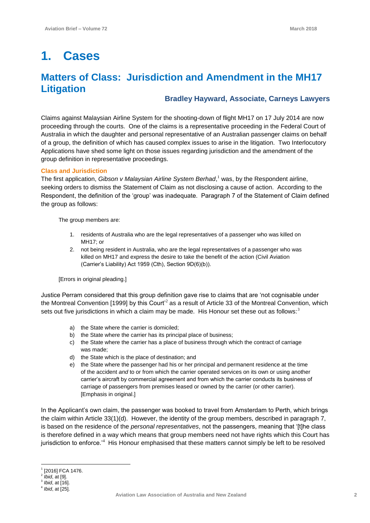## **1. Cases**

## **Matters of Class: Jurisdiction and Amendment in the MH17 Litigation**

#### **Bradley Hayward, Associate, Carneys Lawyers**

Claims against Malaysian Airline System for the shooting-down of flight MH17 on 17 July 2014 are now proceeding through the courts. One of the claims is a representative proceeding in the Federal Court of Australia in which the daughter and personal representative of an Australian passenger claims on behalf of a group, the definition of which has caused complex issues to arise in the litigation. Two Interlocutory Applications have shed some light on those issues regarding jurisdiction and the amendment of the group definition in representative proceedings.

#### **Class and Jurisdiction**

The first application, *Gibson v Malaysian Airline System Berhad*, <sup>1</sup> was, by the Respondent airline, seeking orders to dismiss the Statement of Claim as not disclosing a cause of action. According to the Respondent, the definition of the 'group' was inadequate. Paragraph 7 of the Statement of Claim defined the group as follows:

The group members are:

- 1. residents of Australia who are the legal representatives of a passenger who was killed on MH17; or
- 2. not being resident in Australia, who are the legal representatives of a passenger who was killed on MH17 and express the desire to take the benefit of the action (Civil Aviation (Carrier's Liability) Act 1959 (Cth), Section 9D(6)(b)).

[Errors in original pleading.]

Justice Perram considered that this group definition gave rise to claims that are 'not cognisable under the Montreal Convention [1999] by this Court'<sup>2</sup> as a result of Article 33 of the Montreal Convention, which sets out five jurisdictions in which a claim may be made. His Honour set these out as follows: $3$ 

- a) the State where the carrier is domiciled;
- b) the State where the carrier has its principal place of business;
- c) the State where the carrier has a place of business through which the contract of carriage was made;
- d) the State which is the place of destination; and
- e) the State where the passenger had his or her principal and permanent residence at the time of the accident *and* to or from which the carrier operated services on its own or using another carrier's aircraft by commercial agreement and from which the carrier conducts its business of carriage of passengers from premises leased or owned by the carrier (or other carrier). [Emphasis in original.]

In the Applicant's own claim, the passenger was booked to travel from Amsterdam to Perth, which brings the claim within Article 33(1)(d). However, the identity of the group members, described in paragraph 7, is based on the residence of the *personal representatives*, not the passengers, meaning that '[t]he class is therefore defined in a way which means that group members need not have rights which this Court has jurisdiction to enforce.<sup>4</sup> His Honour emphasised that these matters cannot simply be left to be resolved

 $\overline{a}$ <sup>1</sup> [2016] FCA 1476.

<sup>2</sup> *Ibid*, at [9].

<sup>3</sup> *Ibid*, at [16].

<sup>4</sup> *Ibid*, at [25].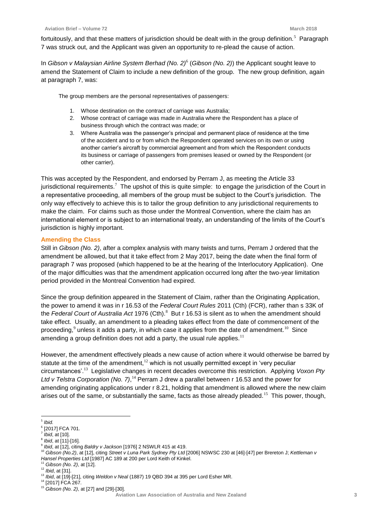fortuitously, and that these matters of jurisdiction should be dealt with in the group definition.<sup>5</sup> Paragraph 7 was struck out, and the Applicant was given an opportunity to re-plead the cause of action.

In *Gibson v Malaysian Airline System Berhad (No. 2)*<sup>6</sup> (*Gibson (No. 2)*) the Applicant sought leave to amend the Statement of Claim to include a new definition of the group. The new group definition, again at paragraph 7, was:

The group members are the personal representatives of passengers:

- 1. Whose destination on the contract of carriage was Australia;
- 2. Whose contract of carriage was made in Australia where the Respondent has a place of business through which the contract was made; or
- 3. Where Australia was the passenger's principal and permanent place of residence at the time of the accident and to or from which the Respondent operated services on its own or using another carrier's aircraft by commercial agreement and from which the Respondent conducts its business or carriage of passengers from premises leased or owned by the Respondent (or other carrier).

This was accepted by the Respondent, and endorsed by Perram J, as meeting the Article 33 jurisdictional requirements.<sup>7</sup> The upshot of this is quite simple: to engage the jurisdiction of the Court in a representative proceeding, all members of the group must be subject to the Court's jurisdiction. The only way effectively to achieve this is to tailor the group definition to any jurisdictional requirements to make the claim. For claims such as those under the Montreal Convention, where the claim has an international element or is subject to an international treaty, an understanding of the limits of the Court's jurisdiction is highly important.

#### **Amending the Class**

Still in *Gibson (No. 2)*, after a complex analysis with many twists and turns, Perram J ordered that the amendment be allowed, but that it take effect from 2 May 2017, being the date when the final form of paragraph 7 was proposed (which happened to be at the hearing of the Interlocutory Application). One of the major difficulties was that the amendment application occurred long after the two-year limitation period provided in the Montreal Convention had expired.

Since the group definition appeared in the Statement of Claim, rather than the Originating Application, the power to amend it was in r 16.53 of the *Federal Court Rules* 2011 (Cth) (FCR), rather than s 33K of the *Federal Court of Australia Act* 1976 (Cth).<sup>8</sup> But r 16.53 is silent as to when the amendment should take effect. Usually, an amendment to a pleading takes effect from the date of commencement of the proceeding,<sup>9</sup> unless it adds a party, in which case it applies from the date of amendment.<sup>10</sup> Since amending a group definition does not add a party, the usual rule applies.<sup>11</sup>

However, the amendment effectively pleads a new cause of action where it would otherwise be barred by statute at the time of the amendment, $12$  which is not usually permitted except in 'very peculiar circumstances'.<sup>13</sup> Legislative changes in recent decades overcome this restriction. Applying *Voxon Pty*  Ltd v Telstra Corporation (No. 7),<sup>14</sup> Perram J drew a parallel between r 16.53 and the power for amending originating applications under r 8.21, holding that amendment is allowed where the new claim arises out of the same, or substantially the same, facts as those already pleaded.<sup>15</sup> This power, though,

 $\overline{a}$ 5 *Ibid.*

<sup>6</sup> [2017] FCA 701.

<sup>7</sup> *Ibid*, at [10].

<sup>8</sup> *Ibid*, at [11]-[16].

<sup>9</sup> *Ibid*, at [12], citing *Baldry v Jackson* [1976] 2 NSWLR 415 at 419.

<sup>10</sup> *Gibson (No.2)*, at [12], citing *Street v Luna Park Sydney Pty Ltd* [2006] NSWSC 230 at [46]-[47] per Brereton J; *Kettleman v Hansel Properties Ltd* [1987] AC 189 at 200 per Lord Keith of Kinkel.

<sup>11</sup> *Gibson (No. 2)*, at [12].

<sup>12</sup> *Ibid*, at [31].

<sup>13</sup> *Ibid*, at [19]-[21], citing *Weldon v Neal* (1887) 19 QBD 394 at 395 per Lord Esher MR.

<sup>14</sup> [2017] FCA 267.

<sup>15</sup> *Gibson (No. 2)*, at [27] and [29]-[30].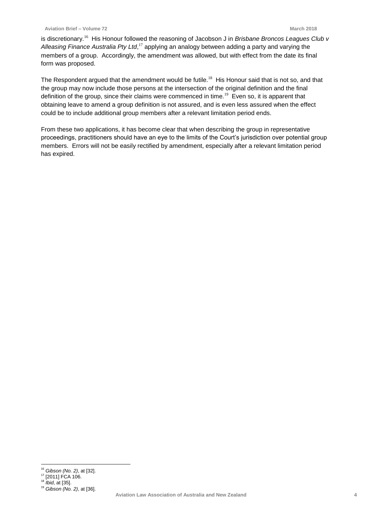is discretionary.<sup>16</sup> His Honour followed the reasoning of Jacobson J in *Brisbane Broncos Leagues Club v* Alleasing Finance Australia Pty Ltd,<sup>17</sup> applying an analogy between adding a party and varying the members of a group. Accordingly, the amendment was allowed, but with effect from the date its final form was proposed.

The Respondent argued that the amendment would be futile.<sup>18</sup> His Honour said that is not so, and that the group may now include those persons at the intersection of the original definition and the final definition of the group, since their claims were commenced in time.<sup>19</sup> Even so, it is apparent that obtaining leave to amend a group definition is not assured, and is even less assured when the effect could be to include additional group members after a relevant limitation period ends.

From these two applications, it has become clear that when describing the group in representative proceedings, practitioners should have an eye to the limits of the Court's jurisdiction over potential group members. Errors will not be easily rectified by amendment, especially after a relevant limitation period has expired.

 $\overline{a}$ <sup>16</sup> *Gibson (No. 2)*, at [32].

<sup>&</sup>lt;sup>17</sup> [2011] FCA 106.

<sup>18</sup> *Ibid*, at [35].

<sup>19</sup> *Gibson (No. 2)*, at [36].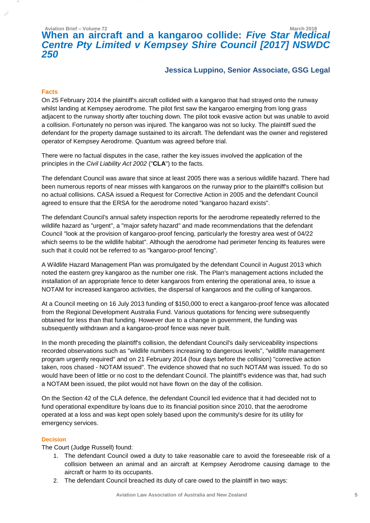## **Aviation Brief – Volume 72 March 2018 When an aircraft and a kangaroo collide:** *Five Star Medical Centre Pty Limited v Kempsey Shire Council [2017] NSWDC 250*

#### **Jessica Luppino, Senior Associate, GSG Legal**

#### **Facts**

On 25 February 2014 the plaintiff's aircraft collided with a kangaroo that had strayed onto the runway whilst landing at Kempsey aerodrome. The pilot first saw the kangaroo emerging from long grass adjacent to the runway shortly after touching down. The pilot took evasive action but was unable to avoid a collision. Fortunately no person was injured. The kangaroo was not so lucky. The plaintiff sued the defendant for the property damage sustained to its aircraft. The defendant was the owner and registered operator of Kempsey Aerodrome. Quantum was agreed before trial.

There were no factual disputes in the case, rather the key issues involved the application of the principles in the *Civil Liability Act 2002* ("**CLA**") to the facts.

The defendant Council was aware that since at least 2005 there was a serious wildlife hazard. There had been numerous reports of near misses with kangaroos on the runway prior to the plaintiff's collision but no actual collisions. CASA issued a Request for Corrective Action in 2005 and the defendant Council agreed to ensure that the ERSA for the aerodrome noted "kangaroo hazard exists".

The defendant Council's annual safety inspection reports for the aerodrome repeatedly referred to the wildlife hazard as "urgent", a "major safety hazard" and made recommendations that the defendant Council "look at the provision of kangaroo-proof fencing, particularly the forestry area west of 04/22 which seems to be the wildlife habitat". Although the aerodrome had perimeter fencing its features were such that it could not be referred to as "kangaroo-proof fencing".

A Wildlife Hazard Management Plan was promulgated by the defendant Council in August 2013 which noted the eastern grey kangaroo as the number one risk. The Plan's management actions included the installation of an appropriate fence to deter kangaroos from entering the operational area, to issue a NOTAM for increased kangaroo activities, the dispersal of kangaroos and the culling of kangaroos.

At a Council meeting on 16 July 2013 funding of \$150,000 to erect a kangaroo-proof fence was allocated from the Regional Development Australia Fund. Various quotations for fencing were subsequently obtained for less than that funding. However due to a change in government, the funding was subsequently withdrawn and a kangaroo-proof fence was never built.

In the month preceding the plaintiff's collision, the defendant Council's daily serviceability inspections recorded observations such as "wildlife numbers increasing to dangerous levels", "wildlife management program urgently required" and on 21 February 2014 (four days before the collision) "corrective action taken, roos chased - NOTAM issued". The evidence showed that no such NOTAM was issued. To do so would have been of little or no cost to the defendant Council. The plaintiff's evidence was that, had such a NOTAM been issued, the pilot would not have flown on the day of the collision.

On the Section 42 of the CLA defence, the defendant Council led evidence that it had decided not to fund operational expenditure by loans due to its financial position since 2010, that the aerodrome operated at a loss and was kept open solely based upon the community's desire for its utility for emergency services.

#### **Decision**

The Court (Judge Russell) found:

- 1. The defendant Council owed a duty to take reasonable care to avoid the foreseeable risk of a collision between an animal and an aircraft at Kempsey Aerodrome causing damage to the aircraft or harm to its occupants.
- 2. The defendant Council breached its duty of care owed to the plaintiff in two ways: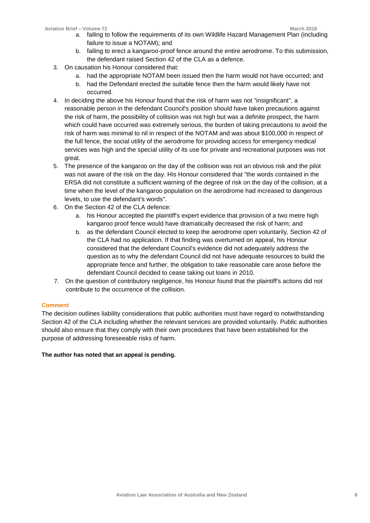- a. failing to follow the requirements of its own Wildlife Hazard Management Plan (including failure to issue a NOTAM); and
- b. failing to erect a kangaroo-proof fence around the entire aerodrome. To this submission, the defendant raised Section 42 of the CLA as a defence.
- 3. On causation his Honour considered that:
	- a. had the appropriate NOTAM been issued then the harm would not have occurred; and
	- b. had the Defendant erected the suitable fence then the harm would likely have not occurred.
- 4. In deciding the above his Honour found that the risk of harm was not "insignificant", a reasonable person in the defendant Council's position should have taken precautions against the risk of harm, the possibility of collision was not high but was a definite prospect, the harm which could have occurred was extremely serious, the burden of taking precautions to avoid the risk of harm was minimal to nil in respect of the NOTAM and was about \$100,000 in respect of the full fence, the social utility of the aerodrome for providing access for emergency medical services was high and the special utility of its use for private and recreational purposes was not great.
- 5. The presence of the kangaroo on the day of the collision was not an obvious risk and the pilot was not aware of the risk on the day. His Honour considered that "the words contained in the ERSA did not constitute a sufficient warning of the degree of risk on the day of the collision, at a time when the level of the kangaroo population on the aerodrome had increased to dangerous levels, to use the defendant's words".
- 6. On the Section 42 of the CLA defence:
	- a. his Honour accepted the plaintiff's expert evidence that provision of a two metre high kangaroo proof fence would have dramatically decreased the risk of harm; and
	- b. as the defendant Council elected to keep the aerodrome open voluntarily, Section 42 of the CLA had no application. If that finding was overturned on appeal, his Honour considered that the defendant Council's evidence did not adequately address the question as to why the defendant Council did not have adequate resources to build the appropriate fence and further, the obligation to take reasonable care arose before the defendant Council decided to cease taking out loans in 2010.
- 7. On the question of contributory negligence, his Honour found that the plaintiff's actions did not contribute to the occurrence of the collision.

#### **Comment**

The decision outlines liability considerations that public authorities must have regard to notwithstanding Section 42 of the CLA including whether the relevant services are provided voluntarily. Public authorities should also ensure that they comply with their own procedures that have been established for the purpose of addressing foreseeable risks of harm.

#### **The author has noted that an appeal is pending.**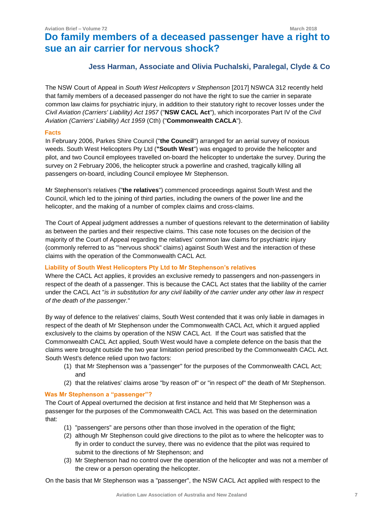## **Do family members of a deceased passenger have a right to sue an air carrier for nervous shock?**

#### **Jess Harman, Associate and Olivia Puchalski, Paralegal, Clyde & Co**

The NSW Court of Appeal in *South West Helicopters v Stephenson* [2017] NSWCA 312 recently held that family members of a deceased passenger do not have the right to sue the carrier in separate common law claims for psychiatric injury, in addition to their statutory right to recover losses under the *Civil Aviation (Carriers' Liability) Act 1957* ("**NSW CACL Act**"), which incorporates Part IV of the *Civil Aviation (Carriers' Liability) Act 1959* (Cth) ("**Commonwealth CACLA**").

#### **Facts**

In February 2006, Parkes Shire Council ("**the Council**") arranged for an aerial survey of noxious weeds. South West Helicopters Pty Ltd (**"South West**") was engaged to provide the helicopter and pilot, and two Council employees travelled on-board the helicopter to undertake the survey. During the survey on 2 February 2006, the helicopter struck a powerline and crashed, tragically killing all passengers on-board, including Council employee Mr Stephenson.

Mr Stephenson's relatives ("**the relatives**") commenced proceedings against South West and the Council, which led to the joining of third parties, including the owners of the power line and the helicopter, and the making of a number of complex claims and cross-claims.

The Court of Appeal judgment addresses a number of questions relevant to the determination of liability as between the parties and their respective claims. This case note focuses on the decision of the majority of the Court of Appeal regarding the relatives' common law claims for psychiatric injury (commonly referred to as '"nervous shock" claims) against South West and the interaction of these claims with the operation of the Commonwealth CACL Act.

#### **Liability of South West Helicopters Pty Ltd to Mr Stephenson's relatives**

Where the CACL Act applies, it provides an exclusive remedy to passengers and non-passengers in respect of the death of a passenger. This is because the CACL Act states that the liability of the carrier under the CACL Act "*is in substitution for any civil liability of the carrier under any other law in respect of the death of the passenger.*"

By way of defence to the relatives' claims, South West contended that it was only liable in damages in respect of the death of Mr Stephenson under the Commonwealth CACL Act, which it argued applied exclusively to the claims by operation of the NSW CACL Act. If the Court was satisfied that the Commonwealth CACL Act applied, South West would have a complete defence on the basis that the claims were brought outside the two year limitation period prescribed by the Commonwealth CACL Act. South West's defence relied upon two factors:

- (1) that Mr Stephenson was a "passenger" for the purposes of the Commonwealth CACL Act; and
- (2) that the relatives' claims arose "by reason of" or "in respect of" the death of Mr Stephenson.

#### **Was Mr Stephenson a "passenger"?**

The Court of Appeal overturned the decision at first instance and held that Mr Stephenson was a passenger for the purposes of the Commonwealth CACL Act. This was based on the determination that:

- (1) "passengers" are persons other than those involved in the operation of the flight;
- (2) although Mr Stephenson could give directions to the pilot as to where the helicopter was to fly in order to conduct the survey, there was no evidence that the pilot was required to submit to the directions of Mr Stephenson; and
- (3) Mr Stephenson had no control over the operation of the helicopter and was not a member of the crew or a person operating the helicopter.

On the basis that Mr Stephenson was a "passenger", the NSW CACL Act applied with respect to the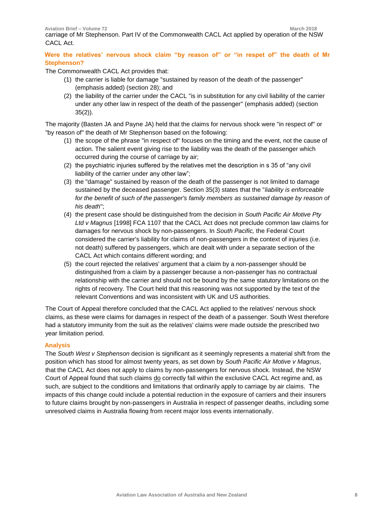**Aviation Brief – Volume 72 March 2018** carriage of Mr Stephenson. Part IV of the Commonwealth CACL Act applied by operation of the NSW CACL Act.

**Were the relatives' nervous shock claim "by reason of" or "in respet of" the death of Mr Stephenson?** 

The Commonwealth CACL Act provides that:

- (1) the carrier is liable for damage "sustained by reason of the death of the passenger" (emphasis added) (section 28); and
- (2) the liability of the carrier under the CACL "is in substitution for any civil liability of the carrier under any other law in respect of the death of the passenger" (emphasis added) (section 35(2)).

The majority (Basten JA and Payne JA) held that the claims for nervous shock were "in respect of" or "by reason of" the death of Mr Stephenson based on the following:

- (1) the scope of the phrase "in respect of" focuses on the timing and the event, not the cause of action. The salient event giving rise to the liability was the death of the passenger which occurred during the course of carriage by air;
- (2) the psychiatric injuries suffered by the relatives met the description in s 35 of "any civil liability of the carrier under any other law";
- (3) the "damage" sustained by reason of the death of the passenger is not limited to damage sustained by the deceased passenger. Section 35(3) states that the "*liability is enforceable for the benefit of such of the passenger's family members as sustained damage by reason of his death*";
- (4) the present case should be distinguished from the decision in *South Pacific Air Motive Pty Ltd v Magnus* [1998] FCA 1107 that the CACL Act does not preclude common law claims for damages for nervous shock by non-passengers. In *South Pacific,* the Federal Court considered the carrier's liability for claims of non-passengers in the context of injuries (i.e. not death) suffered by passengers, which are dealt with under a separate section of the CACL Act which contains different wording; and
- (5) the court rejected the relatives' argument that a claim by a non-passenger should be distinguished from a claim by a passenger because a non-passenger has no contractual relationship with the carrier and should not be bound by the same statutory limitations on the rights of recovery. The Court held that this reasoning was not supported by the text of the relevant Conventions and was inconsistent with UK and US authorities.

The Court of Appeal therefore concluded that the CACL Act applied to the relatives' nervous shock claims, as these were claims for damages in respect of the death of a passenger. South West therefore had a statutory immunity from the suit as the relatives' claims were made outside the prescribed two year limitation period.

#### **Analysis**

The *South West v Stephenson* decision is significant as it seemingly represents a material shift from the position which has stood for almost twenty years, as set down by *South Pacific Air Motive v Magnus*, that the CACL Act does not apply to claims by non-passengers for nervous shock. Instead, the NSW Court of Appeal found that such claims do correctly fall within the exclusive CACL Act regime and, as such, are subject to the conditions and limitations that ordinarily apply to carriage by air claims. The impacts of this change could include a potential reduction in the exposure of carriers and their insurers to future claims brought by non-passengers in Australia in respect of passenger deaths, including some unresolved claims in Australia flowing from recent major loss events internationally.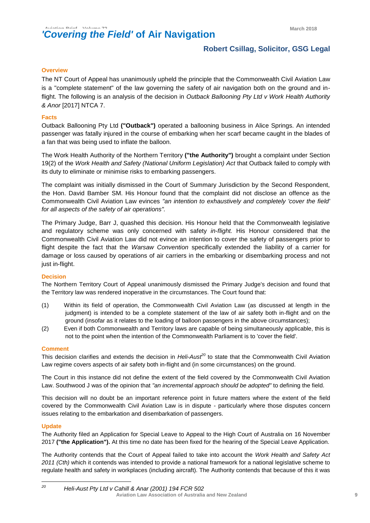#### **Robert Csillag, Solicitor, GSG Legal**

#### **Overview**

The NT Court of Appeal has unanimously upheld the principle that the Commonwealth Civil Aviation Law is a "complete statement" of the law governing the safety of air navigation both on the ground and inflight. The following is an analysis of the decision in *Outback Ballooning Pty Ltd v Work Health Authority & Anor* [2017] NTCA 7.

#### **Facts**

Outback Ballooning Pty Ltd **("Outback")** operated a ballooning business in Alice Springs. An intended passenger was fatally injured in the course of embarking when her scarf became caught in the blades of a fan that was being used to inflate the balloon.

The Work Health Authority of the Northern Territory **("the Authority")** brought a complaint under Section 19(2) of the *Work Health and Safety (National Uniform Legislation) Act* that Outback failed to comply with its duty to eliminate or minimise risks to embarking passengers.

The complaint was initially dismissed in the Court of Summary Jurisdiction by the Second Respondent, the Hon. David Bamber SM. His Honour found that the complaint did not disclose an offence as the Commonwealth Civil Aviation Law evinces *"an intention to exhaustively and completely 'cover the field' for all aspects of the safety of air operations".*

The Primary Judge, Barr J, quashed this decision. His Honour held that the Commonwealth legislative and regulatory scheme was only concerned with safety *in-flight.* His Honour considered that the Commonwealth Civil Aviation Law did not evince an intention to cover the safety of passengers prior to flight despite the fact that the *Warsaw Convention* specifically extended the liability of a carrier for damage or loss caused by operations of air carriers in the embarking or disembarking process and not just in-flight.

#### **Decision**

The Northern Territory Court of Appeal unanimously dismissed the Primary Judge's decision and found that the Territory law was rendered inoperative in the circumstances. The Court found that:

- (1) Within its field of operation, the Commonwealth Civil Aviation Law (as discussed at length in the judgment) is intended to be a complete statement of the law of air safety both in-flight and on the ground (insofar as it relates to the loading of balloon passengers in the above circumstances);
- (2) Even if both Commonwealth and Territory laws are capable of being simultaneously applicable, this is not to the point when the intention of the Commonwealth Parliament is to 'cover the field'.

#### **Comment**

This decision clarifies and extends the decision in *Heli-Aust<sup>20</sup>* to state that the Commonwealth Civil Aviation Law regime covers aspects of air safety both in-flight and (in some circumstances) on the ground.

The Court in this instance did not define the extent of the field covered by the Commonwealth Civil Aviation Law. Southwood J was of the opinion that *"an incremental approach should be adopted"* to defining the field.

This decision will no doubt be an important reference point in future matters where the extent of the field covered by the Commonwealth Civil Aviation Law is in dispute - particularly where those disputes concern issues relating to the embarkation and disembarkation of passengers.

#### **Update**

The Authority filed an Application for Special Leave to Appeal to the High Court of Australia on 16 November 2017 **("the Application").** At this time no date has been fixed for the hearing of the Special Leave Application.

The Authority contends that the Court of Appeal failed to take into account the *Work Health and Safety Act 2011 (Cth)* which it contends was intended to provide a national framework for a national legislative scheme to regulate health and safety in workplaces (including aircraft). The Authority contends that because of this it was

**Aviation Law Association of Australia and New Zealand <sup>9</sup>** 20 *<sup>20</sup> Heli-Aust Pty Ltd v Cahill & Anar (2001) 194 FCR 502*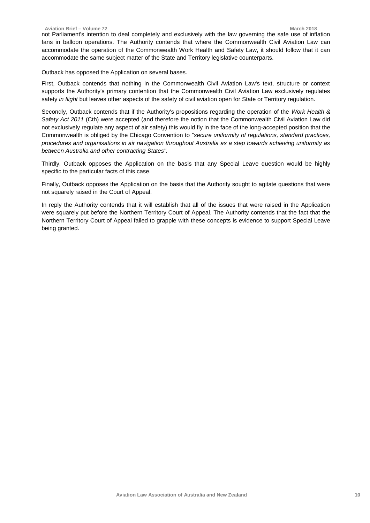not Parliament's intention to deal completely and exclusively with the law governing the safe use of inflation fans in balloon operations. The Authority contends that where the Commonwealth Civil Aviation Law can accommodate the operation of the Commonwealth Work Health and Safety Law, it should follow that it can accommodate the same subject matter of the State and Territory legislative counterparts.

Outback has opposed the Application on several bases.

First, Outback contends that nothing in the Commonwealth Civil Aviation Law's text, structure or context supports the Authority's primary contention that the Commonwealth Civil Aviation Law exclusively regulates safety *in flight* but leaves other aspects of the safety of civil aviation open for State or Territory regulation.

Secondly, Outback contends that if the Authority's propositions regarding the operation of the *Work Health & Safety Act 2011* (Cth) were accepted (and therefore the notion that the Commonwealth Civil Aviation Law did not exclusively regulate any aspect of air safety) this would fly in the face of the long-accepted position that the Commonwealth is obliged by the Chicago Convention to *"secure uniformity of regulations, standard practices, procedures and organisations in air navigation throughout Australia as a step towards achieving uniformity as between Australia and other contracting States".*

Thirdly, Outback opposes the Application on the basis that any Special Leave question would be highly specific to the particular facts of this case.

Finally, Outback opposes the Application on the basis that the Authority sought to agitate questions that were not squarely raised in the Court of Appeal.

In reply the Authority contends that it will establish that all of the issues that were raised in the Application were squarely put before the Northern Territory Court of Appeal. The Authority contends that the fact that the Northern Territory Court of Appeal failed to grapple with these concepts is evidence to support Special Leave being granted.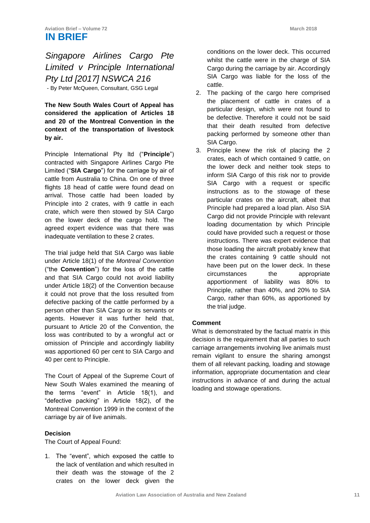### *Singapore Airlines Cargo Pte Limited v Principle International Pty Ltd [2017] NSWCA 216* - By Peter McQueen, Consultant, GSG Legal

**The New South Wales Court of Appeal has considered the application of Articles 18 and 20 of the Montreal Convention in the context of the transportation of livestock by air.** 

Principle International Pty ltd ("**Principle**") contracted with Singapore Airlines Cargo Pte Limited ("**SIA Cargo**") for the carriage by air of cattle from Australia to China. On one of three flights 18 head of cattle were found dead on arrival. Those cattle had been loaded by Principle into 2 crates, with 9 cattle in each crate, which were then stowed by SIA Cargo on the lower deck of the cargo hold. The agreed expert evidence was that there was inadequate ventilation to these 2 crates.

The trial judge held that SIA Cargo was liable under Article 18(1) of the *Montreal Convention* ("the **Convention**") for the loss of the cattle and that SIA Cargo could not avoid liability under Article 18(2) of the Convention because it could not prove that the loss resulted from defective packing of the cattle performed by a person other than SIA Cargo or its servants or agents. However it was further held that, pursuant to Article 20 of the Convention, the loss was contributed to by a wrongful act or omission of Principle and accordingly liability was apportioned 60 per cent to SIA Cargo and 40 per cent to Principle.

The Court of Appeal of the Supreme Court of New South Wales examined the meaning of the terms "event" in Article 18(1), and "defective packing" in Article 18(2), of the Montreal Convention 1999 in the context of the carriage by air of live animals.

#### **Decision**

The Court of Appeal Found:

1. The "event", which exposed the cattle to the lack of ventilation and which resulted in their death was the stowage of the 2 crates on the lower deck given the conditions on the lower deck. This occurred whilst the cattle were in the charge of SIA Cargo during the carriage by air. Accordingly SIA Cargo was liable for the loss of the cattle.

- 2. The packing of the cargo here comprised the placement of cattle in crates of a particular design, which were not found to be defective. Therefore it could not be said that their death resulted from defective packing performed by someone other than SIA Cargo.
- 3. Principle knew the risk of placing the 2 crates, each of which contained 9 cattle, on the lower deck and neither took steps to inform SIA Cargo of this risk nor to provide SIA Cargo with a request or specific instructions as to the stowage of these particular crates on the aircraft, albeit that Principle had prepared a load plan. Also SIA Cargo did not provide Principle with relevant loading documentation by which Principle could have provided such a request or those instructions. There was expert evidence that those loading the aircraft probably knew that the crates containing 9 cattle should not have been put on the lower deck. In these circumstances the appropriate apportionment of liability was 80% to Principle, rather than 40%, and 20% to SIA Cargo, rather than 60%, as apportioned by the trial judge.

#### **Comment**

What is demonstrated by the factual matrix in this decision is the requirement that all parties to such carriage arrangements involving live animals must remain vigilant to ensure the sharing amongst them of all relevant packing, loading and stowage information, appropriate documentation and clear instructions in advance of and during the actual loading and stowage operations.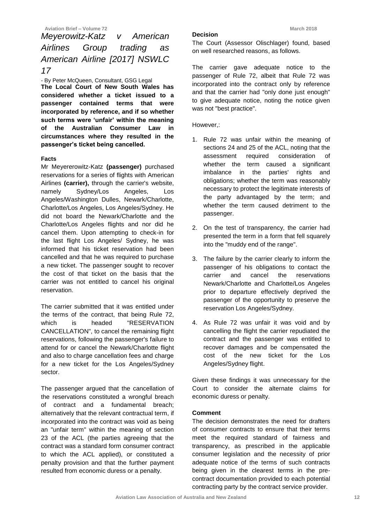### *Meyerowitz-Katz v American Airlines Group trading as American Airline [2017] NSWLC 17*

- By Peter McQueen, Consultant, GSG Legal **The Local Court of New South Wales has considered whether a ticket issued to a passenger contained terms that were incorporated by reference, and if so whether such terms were 'unfair' within the meaning of the Australian Consumer Law in circumstances where they resulted in the passenger's ticket being cancelled.** 

#### **Facts**

Mr Meyererowitz-Katz **(passenger)** purchased reservations for a series of flights with American Airlines **(carrier),** through the carrier's website, namely Sydney/Los Angeles, Los Angeles/Washington Dulles, Newark/Charlotte, Charlotte/Los Angeles, Los Angeles/Sydney. He did not board the Newark/Charlotte and the Charlotte/Los Angeles flights and nor did he cancel them. Upon attempting to check-in for the last flight Los Angeles/ Sydney, he was informed that his ticket reservation had been cancelled and that he was required to purchase a new ticket. The passenger sought to recover the cost of that ticket on the basis that the carrier was not entitled to cancel his original reservation.

The carrier submitted that it was entitled under the terms of the contract, that being Rule 72, which is headed "RESERVATION CANCELLATION", to cancel the remaining flight reservations, following the passenger's failure to attend for or cancel the Newark/Charlotte flight and also to charge cancellation fees and charge for a new ticket for the Los Angeles/Sydney sector.

The passenger argued that the cancellation of the reservations constituted a wrongful breach of contract and a fundamental breach; alternatively that the relevant contractual term, if incorporated into the contract was void as being an "unfair term" within the meaning of section 23 of the ACL (the parties agreeing that the contract was a standard form consumer contract to which the ACL applied), or constituted a penalty provision and that the further payment resulted from economic duress or a penalty.

#### **Decision**

The Court (Assessor Olischlager) found, based on well researched reasons, as follows.

The carrier gave adequate notice to the passenger of Rule 72, albeit that Rule 72 was incorporated into the contract only by reference and that the carrier had "only done just enough" to give adequate notice, noting the notice given was not "best practice".

However,:

- 1. Rule 72 was unfair within the meaning of sections 24 and 25 of the ACL, noting that the assessment required consideration of whether the term caused a significant imbalance in the parties' rights and obligations; whether the term was reasonably necessary to protect the legitimate interests of the party advantaged by the term; and whether the term caused detriment to the passenger.
- 2. On the test of transparency, the carrier had presented the term in a form that fell squarely into the "muddy end of the range".
- 3. The failure by the carrier clearly to inform the passenger of his obligations to contact the carrier and cancel the reservations Newark/Charlotte and Charlotte/Los Angeles prior to departure effectively deprived the passenger of the opportunity to preserve the reservation Los Angeles/Sydney.
- 4. As Rule 72 was unfair it was void and by cancelling the flight the carrier repudiated the contract and the passenger was entitled to recover damages and be compensated the cost of the new ticket for the Los Angeles/Sydney flight.

Given these findings it was unnecessary for the Court to consider the alternate claims for economic duress or penalty.

#### **Comment**

The decision demonstrates the need for drafters of consumer contracts to ensure that their terms meet the required standard of fairness and transparency, as prescribed in the applicable consumer legislation and the necessity of prior adequate notice of the terms of such contracts being given in the clearest terms in the precontract documentation provided to each potential contracting party by the contract service provider.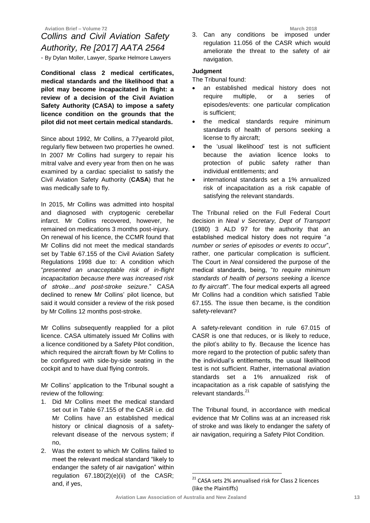## *Collins and Civil Aviation Safety Authority, Re [2017] AATA 2564*

- By Dylan Moller, Lawyer, Sparke Helmore Lawyers

**Conditional class 2 medical certificates, medical standards and the likelihood that a pilot may become incapacitated in flight: a review of a decision of the Civil Aviation Safety Authority (CASA) to impose a safety licence condition on the grounds that the pilot did not meet certain medical standards.**

Since about 1992, Mr Collins, a 77yearold pilot, regularly flew between two properties he owned. In 2007 Mr Collins had surgery to repair his mitral valve and every year from then on he was examined by a cardiac specialist to satisfy the Civil Aviation Safety Authority (**CASA**) that he was medically safe to fly.

In 2015, Mr Collins was admitted into hospital and diagnosed with cryptogenic cerebellar infarct. Mr Collins recovered, however, he remained on medications 3 months post-injury. On renewal of his licence, the CCMR found that Mr Collins did not meet the medical standards set by Table 67.155 of the Civil Aviation Safety Regulations 1998 due to: A condition which "*presented an unacceptable risk of in-flight incapacitation because there was increased risk of stroke…and post-stroke seizure*." CASA declined to renew Mr Collins' pilot licence, but said it would consider a review of the risk posed by Mr Collins 12 months post-stroke.

Mr Collins subsequently reapplied for a pilot licence. CASA ultimately issued Mr Collins with a licence conditioned by a Safety Pilot condition, which required the aircraft flown by Mr Collins to be configured with side-by-side seating in the cockpit and to have dual flying controls.

Mr Collins' application to the Tribunal sought a review of the following:

- 1. Did Mr Collins meet the medical standard set out in Table 67.155 of the CASR i.e. did Mr Collins have an established medical history or clinical diagnosis of a safetyrelevant disease of the nervous system; if no,
- 2. Was the extent to which Mr Collins failed to meet the relevant medical standard "likely to endanger the safety of air navigation" within regulation 67.180(2)(e)(ii) of the CASR; and, if yes,

3. Can any conditions be imposed under regulation 11.056 of the CASR which would ameliorate the threat to the safety of air navigation.

#### **Judgment**

The Tribunal found:

- an established medical history does not require multiple, or a series of episodes/events: one particular complication is sufficient;
- the medical standards require minimum standards of health of persons seeking a license to fly aircraft;
- the 'usual likelihood' test is not sufficient because the aviation licence looks to protection of public safety rather than individual entitlements; and
- international standards set a 1% annualized risk of incapacitation as a risk capable of satisfying the relevant standards.

The Tribunal relied on the Full Federal Court decision in *Neal v Secretary, Dept of Transport*  (1980) 3 ALD 97 for the authority that an established medical history does not require "*a number or series of episodes or events to occur*", rather, one particular complication is sufficient. The Court in *Neal* considered the purpose of the medical standards, being, "*to require minimum standards of health of persons seeking a licence to fly aircraft*". The four medical experts all agreed Mr Collins had a condition which satisfied Table 67.155. The issue then became, is the condition safety-relevant?

A safety-relevant condition in rule 67.015 of CASR is one that reduces, or is likely to reduce, the pilot's ability to fly. Because the licence has more regard to the protection of public safety than the individual's entitlements, the usual likelihood test is not sufficient. Rather, international aviation standards set a 1% annualized risk of incapacitation as a risk capable of satisfying the relevant standards.<sup>21</sup>

The Tribunal found, in accordance with medical evidence that Mr Collins was at an increased risk of stroke and was likely to endanger the safety of air navigation, requiring a Safety Pilot Condition.

<u>.</u>

 $21$  CASA sets 2% annualised risk for Class 2 licences (like the Plaintiffs)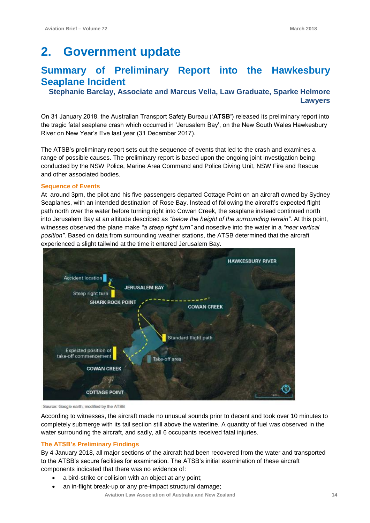## **2. Government update**

## **Summary of Preliminary Report into the Hawkesbury Seaplane Incident**

**Stephanie Barclay, Associate and Marcus Vella, Law Graduate, Sparke Helmore Lawyers**

On 31 January 2018, the Australian Transport Safety Bureau ('**ATSB'**) released its preliminary report into the tragic fatal seaplane crash which occurred in 'Jerusalem Bay', on the New South Wales Hawkesbury River on New Year's Eve last year (31 December 2017).

The ATSB's preliminary report sets out the sequence of events that led to the crash and examines a range of possible causes. The preliminary report is based upon the ongoing joint investigation being conducted by the NSW Police, Marine Area Command and Police Diving Unit, NSW Fire and Rescue and other associated bodies.

#### **Sequence of Events**

At around 3pm, the pilot and his five passengers departed Cottage Point on an aircraft owned by Sydney Seaplanes, with an intended destination of Rose Bay. Instead of following the aircraft's expected flight path north over the water before turning right into Cowan Creek, the seaplane instead continued north into Jerusalem Bay at an altitude described as *"below the height of the surrounding terrain"*. At this point, witnesses observed the plane make *"a steep right turn"* and nosedive into the water in a *"near vertical position"*. Based on data from surrounding weather stations, the ATSB determined that the aircraft experienced a slight tailwind at the time it entered Jerusalem Bay.



Source: Google earth, modified by the ATSB

According to witnesses, the aircraft made no unusual sounds prior to decent and took over 10 minutes to completely submerge with its tail section still above the waterline. A quantity of fuel was observed in the water surrounding the aircraft, and sadly, all 6 occupants received fatal injuries.

#### **The ATSB's Preliminary Findings**

By 4 January 2018, all major sections of the aircraft had been recovered from the water and transported to the ATSB's secure facilities for examination. The ATSB's initial examination of these aircraft components indicated that there was no evidence of:

- a bird-strike or collision with an object at any point;
- an in-flight break-up or any pre-impact structural damage;

 **Aviation Law Association of Australia and New Zealand 14**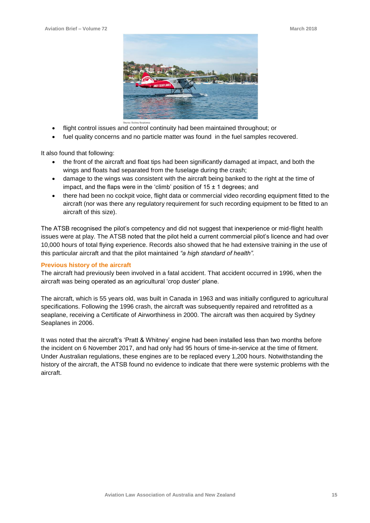

- flight control issues and control continuity had been maintained throughout; or
- fuel quality concerns and no particle matter was found in the fuel samples recovered.

It also found that following:

- the front of the aircraft and float tips had been significantly damaged at impact, and both the wings and floats had separated from the fuselage during the crash;
- damage to the wings was consistent with the aircraft being banked to the right at the time of impact, and the flaps were in the 'climb' position of  $15 \pm 1$  degrees; and
- there had been no cockpit voice, flight data or commercial video recording equipment fitted to the aircraft (nor was there any regulatory requirement for such recording equipment to be fitted to an aircraft of this size).

The ATSB recognised the pilot's competency and did not suggest that inexperience or mid-flight health issues were at play. The ATSB noted that the pilot held a current commercial pilot's licence and had over 10,000 hours of total flying experience. Records also showed that he had extensive training in the use of this particular aircraft and that the pilot maintained *"a high standard of health".*

#### **Previous history of the aircraft**

The aircraft had previously been involved in a fatal accident. That accident occurred in 1996, when the aircraft was being operated as an agricultural 'crop duster' plane.

The aircraft, which is 55 years old, was built in Canada in 1963 and was initially configured to agricultural specifications. Following the 1996 crash, the aircraft was subsequently repaired and retrofitted as a seaplane, receiving a Certificate of Airworthiness in 2000. The aircraft was then acquired by Sydney Seaplanes in 2006.

It was noted that the aircraft's 'Pratt & Whitney' engine had been installed less than two months before the incident on 6 November 2017, and had only had 95 hours of time-in-service at the time of fitment. Under Australian regulations, these engines are to be replaced every 1,200 hours. Notwithstanding the history of the aircraft, the ATSB found no evidence to indicate that there were systemic problems with the aircraft.